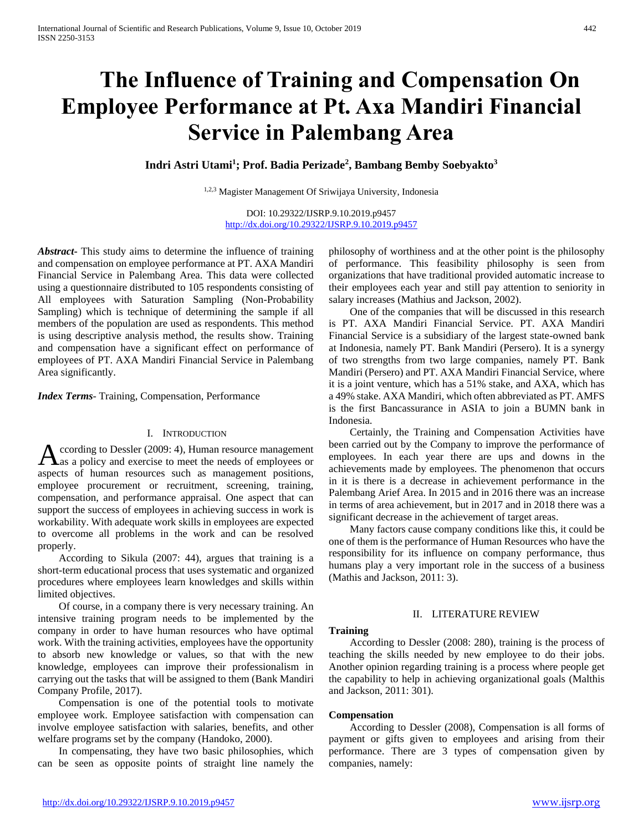# **The Influence of Training and Compensation On Employee Performance at Pt. Axa Mandiri Financial Service in Palembang Area**

## **Indri Astri Utami<sup>1</sup> ; Prof. Badia Perizade<sup>2</sup> , Bambang Bemby Soebyakto<sup>3</sup>**

1,2,3 Magister Management Of Sriwijaya University, Indonesia

DOI: 10.29322/IJSRP.9.10.2019.p9457 <http://dx.doi.org/10.29322/IJSRP.9.10.2019.p9457>

*Abstract***-** This study aims to determine the influence of training and compensation on employee performance at PT. AXA Mandiri Financial Service in Palembang Area. This data were collected using a questionnaire distributed to 105 respondents consisting of All employees with Saturation Sampling (Non-Probability Sampling) which is technique of determining the sample if all members of the population are used as respondents. This method is using descriptive analysis method, the results show. Training and compensation have a significant effect on performance of employees of PT. AXA Mandiri Financial Service in Palembang Area significantly.

*Index Terms*- Training, Compensation, Performance

## I. INTRODUCTION

ccording to Dessler (2009: 4), Human resource management as a policy and exercise to meet the needs of employees or According to Dessler (2009: 4), Human resource management as a policy and exercise to meet the needs of employees or aspects of human resources such as management positions, employee procurement or recruitment, screening, training, compensation, and performance appraisal. One aspect that can support the success of employees in achieving success in work is workability. With adequate work skills in employees are expected to overcome all problems in the work and can be resolved properly.

 According to Sikula (2007: 44), argues that training is a short-term educational process that uses systematic and organized procedures where employees learn knowledges and skills within limited objectives.

 Of course, in a company there is very necessary training. An intensive training program needs to be implemented by the company in order to have human resources who have optimal work. With the training activities, employees have the opportunity to absorb new knowledge or values, so that with the new knowledge, employees can improve their professionalism in carrying out the tasks that will be assigned to them (Bank Mandiri Company Profile, 2017).

 Compensation is one of the potential tools to motivate employee work. Employee satisfaction with compensation can involve employee satisfaction with salaries, benefits, and other welfare programs set by the company (Handoko, 2000).

 In compensating, they have two basic philosophies, which can be seen as opposite points of straight line namely the philosophy of worthiness and at the other point is the philosophy of performance. This feasibility philosophy is seen from organizations that have traditional provided automatic increase to their employees each year and still pay attention to seniority in salary increases (Mathius and Jackson, 2002).

 One of the companies that will be discussed in this research is PT. AXA Mandiri Financial Service. PT. AXA Mandiri Financial Service is a subsidiary of the largest state-owned bank at Indonesia, namely PT. Bank Mandiri (Persero). It is a synergy of two strengths from two large companies, namely PT. Bank Mandiri (Persero) and PT. AXA Mandiri Financial Service, where it is a joint venture, which has a 51% stake, and AXA, which has a 49% stake. AXA Mandiri, which often abbreviated as PT. AMFS is the first Bancassurance in ASIA to join a BUMN bank in Indonesia.

 Certainly, the Training and Compensation Activities have been carried out by the Company to improve the performance of employees. In each year there are ups and downs in the achievements made by employees. The phenomenon that occurs in it is there is a decrease in achievement performance in the Palembang Arief Area. In 2015 and in 2016 there was an increase in terms of area achievement, but in 2017 and in 2018 there was a significant decrease in the achievement of target areas.

 Many factors cause company conditions like this, it could be one of them is the performance of Human Resources who have the responsibility for its influence on company performance, thus humans play a very important role in the success of a business (Mathis and Jackson, 2011: 3).

## II. LITERATURE REVIEW

## **Training**

 According to Dessler (2008: 280), training is the process of teaching the skills needed by new employee to do their jobs. Another opinion regarding training is a process where people get the capability to help in achieving organizational goals (Malthis and Jackson, 2011: 301).

#### **Compensation**

 According to Dessler (2008), Compensation is all forms of payment or gifts given to employees and arising from their performance. There are 3 types of compensation given by companies, namely: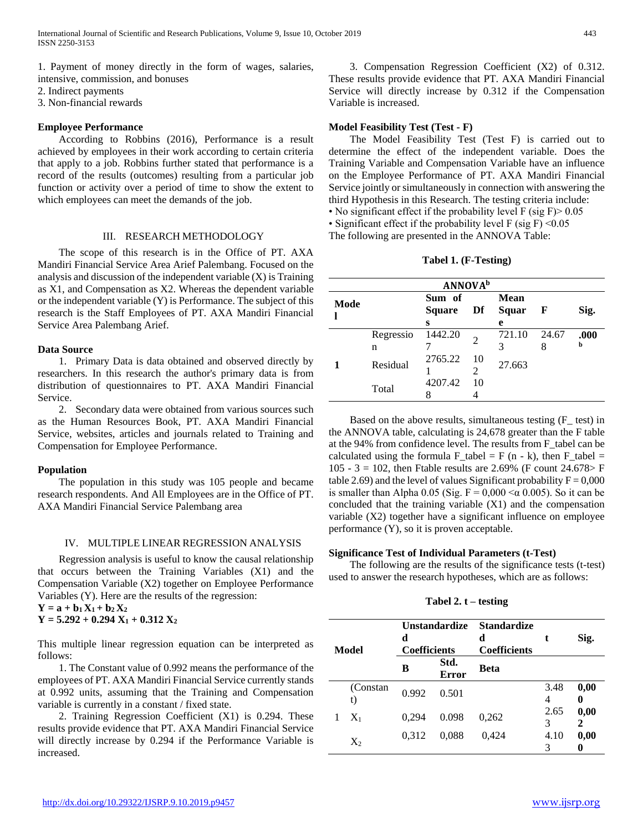1. Payment of money directly in the form of wages, salaries, intensive, commission, and bonuses

- 2. Indirect payments
- 3. Non-financial rewards

## **Employee Performance**

 According to Robbins (2016), Performance is a result achieved by employees in their work according to certain criteria that apply to a job. Robbins further stated that performance is a record of the results (outcomes) resulting from a particular job function or activity over a period of time to show the extent to which employees can meet the demands of the job.

## III. RESEARCH METHODOLOGY

 The scope of this research is in the Office of PT. AXA Mandiri Financial Service Area Arief Palembang. Focused on the analysis and discussion of the independent variable (X) is Training as X1, and Compensation as X2. Whereas the dependent variable or the independent variable (Y) is Performance. The subject of this research is the Staff Employees of PT. AXA Mandiri Financial Service Area Palembang Arief.

#### **Data Source**

 1. Primary Data is data obtained and observed directly by researchers. In this research the author's primary data is from distribution of questionnaires to PT. AXA Mandiri Financial Service.

 2. Secondary data were obtained from various sources such as the Human Resources Book, PT. AXA Mandiri Financial Service, websites, articles and journals related to Training and Compensation for Employee Performance.

#### **Population**

 The population in this study was 105 people and became research respondents. And All Employees are in the Office of PT. AXA Mandiri Financial Service Palembang area

#### IV. MULTIPLE LINEAR REGRESSION ANALYSIS

 Regression analysis is useful to know the causal relationship that occurs between the Training Variables (X1) and the Compensation Variable (X2) together on Employee Performance Variables (Y). Here are the results of the regression:

 $Y = a + b_1 X_1 + b_2 X_2$  $Y = 5.292 + 0.294 X_1 + 0.312 X_2$ 

This multiple linear regression equation can be interpreted as follows:

 1. The Constant value of 0.992 means the performance of the employees of PT. AXA Mandiri Financial Service currently stands at 0.992 units, assuming that the Training and Compensation variable is currently in a constant / fixed state.

 2. Training Regression Coefficient (X1) is 0.294. These results provide evidence that PT. AXA Mandiri Financial Service will directly increase by 0.294 if the Performance Variable is increased.

 3. Compensation Regression Coefficient (X2) of 0.312. These results provide evidence that PT. AXA Mandiri Financial Service will directly increase by 0.312 if the Compensation Variable is increased.

### **Model Feasibility Test (Test - F)**

 The Model Feasibility Test (Test F) is carried out to determine the effect of the independent variable. Does the Training Variable and Compensation Variable have an influence on the Employee Performance of PT. AXA Mandiri Financial Service jointly or simultaneously in connection with answering the third Hypothesis in this Research. The testing criteria include:

• No significant effect if the probability level  $F$  (sig  $F$ ) > 0.05

• Significant effect if the probability level  $F$  (sig  $F$ ) < 0.05

The following are presented in the ANNOVA Table:

**Tabel 1. (F-Testing)**

| <b>ANNOVA</b> <sup>b</sup> |                |                              |    |                    |       |           |  |  |  |  |
|----------------------------|----------------|------------------------------|----|--------------------|-------|-----------|--|--|--|--|
| Mode                       |                | Sum of<br><b>Square</b><br>S | Df | Mean<br>Squar<br>e | - F   | Sig.      |  |  |  |  |
|                            | Regressio<br>n | 1442.20                      |    | 721.10<br>3        | 24.67 | .000<br>b |  |  |  |  |
|                            | Residual       | 2765.22                      | 10 | 27.663             |       |           |  |  |  |  |
|                            | Total          | 4207.42                      | 10 |                    |       |           |  |  |  |  |

Based on the above results, simultaneous testing  $(F_{\text{est}})$  in the ANNOVA table, calculating is 24,678 greater than the F table at the 94% from confidence level. The results from F\_tabel can be calculated using the formula  $F_{\text{table}} = F (n - k)$ , then  $F_{\text{table}} =$ 105 - 3 = 102, then Ftable results are 2.69% (F count  $24.678 > F$ table 2.69) and the level of values Significant probability  $F = 0,000$ is smaller than Alpha 0.05 (Sig.  $F = 0,000 < \alpha$  0.005). So it can be concluded that the training variable (X1) and the compensation variable (X2) together have a significant influence on employee performance (Y), so it is proven acceptable.

## **Significance Test of Individual Parameters (t-Test)**

 The following are the results of the significance tests (t-test) used to answer the research hypotheses, which are as follows:

#### **Tabel 2. t – testing**

| Model |                | Unstandardize<br>d<br><b>Coefficients</b> |                      | <b>Standardize</b><br>d<br><b>Coefficients</b> | t         | Sig.      |
|-------|----------------|-------------------------------------------|----------------------|------------------------------------------------|-----------|-----------|
|       |                | в                                         | Std.<br><b>Error</b> | Beta                                           |           |           |
|       | (Constan<br>t) | 0.992                                     | 0.501                |                                                | 3.48<br>4 | 0,00<br>0 |
|       | $X_1$          | 0.294                                     | 0.098                | 0,262                                          | 2.65<br>3 | 0,00<br>2 |
|       | $X_2$          | 0,312                                     | 0,088                | 0,424                                          | 4.10<br>3 | 0,00      |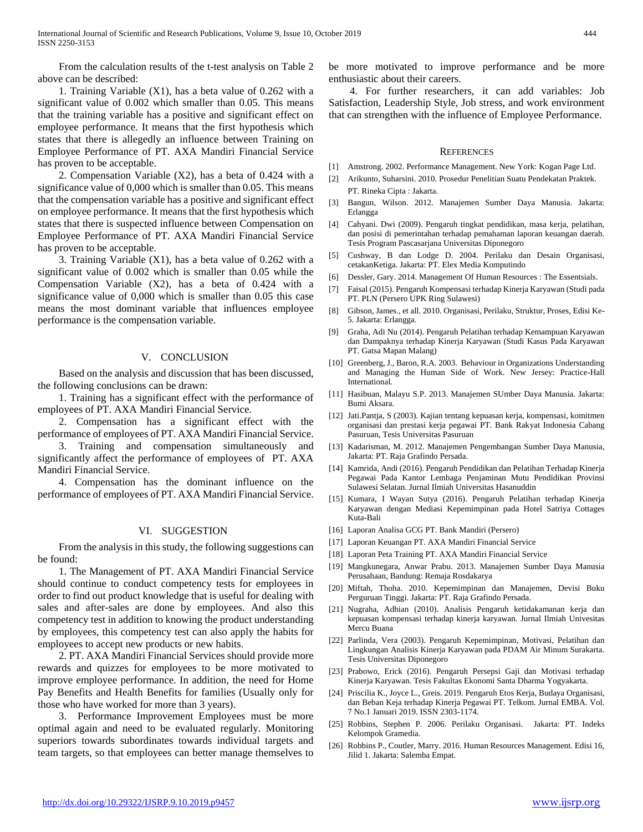From the calculation results of the t-test analysis on Table 2 above can be described:

 1. Training Variable (X1), has a beta value of 0.262 with a significant value of 0.002 which smaller than 0.05. This means that the training variable has a positive and significant effect on employee performance. It means that the first hypothesis which states that there is allegedly an influence between Training on Employee Performance of PT. AXA Mandiri Financial Service has proven to be acceptable.

 2. Compensation Variable (X2), has a beta of 0.424 with a significance value of 0,000 which is smaller than 0.05. This means that the compensation variable has a positive and significant effect on employee performance. It means that the first hypothesis which states that there is suspected influence between Compensation on Employee Performance of PT. AXA Mandiri Financial Service has proven to be acceptable.

 3. Training Variable (X1), has a beta value of 0.262 with a significant value of 0.002 which is smaller than 0.05 while the Compensation Variable (X2), has a beta of 0.424 with a significance value of 0,000 which is smaller than 0.05 this case means the most dominant variable that influences employee performance is the compensation variable.

#### V. CONCLUSION

 Based on the analysis and discussion that has been discussed, the following conclusions can be drawn:

 1. Training has a significant effect with the performance of employees of PT. AXA Mandiri Financial Service.

 2. Compensation has a significant effect with the performance of employees of PT. AXA Mandiri Financial Service.

 3. Training and compensation simultaneously and significantly affect the performance of employees of PT. AXA Mandiri Financial Service.

 4. Compensation has the dominant influence on the performance of employees of PT. AXA Mandiri Financial Service.

#### VI. SUGGESTION

 From the analysis in this study, the following suggestions can be found:

 1. The Management of PT. AXA Mandiri Financial Service should continue to conduct competency tests for employees in order to find out product knowledge that is useful for dealing with sales and after-sales are done by employees. And also this competency test in addition to knowing the product understanding by employees, this competency test can also apply the habits for employees to accept new products or new habits.

 2. PT. AXA Mandiri Financial Services should provide more rewards and quizzes for employees to be more motivated to improve employee performance. In addition, the need for Home Pay Benefits and Health Benefits for families (Usually only for those who have worked for more than 3 years).

 3. Performance Improvement Employees must be more optimal again and need to be evaluated regularly. Monitoring superiors towards subordinates towards individual targets and team targets, so that employees can better manage themselves to be more motivated to improve performance and be more enthusiastic about their careers.

 4. For further researchers, it can add variables: Job Satisfaction, Leadership Style, Job stress, and work environment that can strengthen with the influence of Employee Performance.

#### **REFERENCES**

- [1] Amstrong. 2002. Performance Management. New York: Kogan Page Ltd.
- [2] Arikunto, Suharsini. 2010. Prosedur Penelitian Suatu Pendekatan Praktek. PT. Rineka Cipta : Jakarta.
- [3] Bangun, Wilson. 2012. Manajemen Sumber Daya Manusia. Jakarta: Erlangga
- [4] Cahyani. Dwi (2009). Pengaruh tingkat pendidikan, masa kerja, pelatihan, dan posisi di pemerintahan terhadap pemahaman laporan keuangan daerah. Tesis Program Pascasarjana Universitas Diponegoro
- [5] Cushway, B dan Lodge D. 2004. Perilaku dan Desain Organisasi, cetakanKetiga. Jakarta: PT. Elex Media Komputindo
- [6] Dessler, Gary. 2014. Management Of Human Resources : The Essentsials.
- [7] Faisal (2015). Pengaruh Kompensasi terhadap Kinerja Karyawan (Studi pada PT. PLN (Persero UPK Ring Sulawesi)
- [8] Gibson, James., et all. 2010. Organisasi, Perilaku, Struktur, Proses, Edisi Ke-5. Jakarta: Erlangga.
- [9] Graha, Adi Nu (2014). Pengaruh Pelatihan terhadap Kemampuan Karyawan dan Dampaknya terhadap Kinerja Karyawan (Studi Kasus Pada Karyawan PT. Gatsa Mapan Malang)
- [10] Greenberg, J., Baron, R.A. 2003. Behaviour in Organizations Understanding and Managing the Human Side of Work. New Jersey: Practice-Hall International.
- [11] Hasibuan, Malayu S.P. 2013. Manajemen SUmber Daya Manusia. Jakarta: Bumi Aksara.
- [12] Jati.Pantja, S (2003). Kajian tentang kepuasan kerja, kompensasi, komitmen organisasi dan prestasi kerja pegawai PT. Bank Rakyat Indonesia Cabang Pasuruan, Tesis Universitas Pasuruan
- [13] Kadarisman, M. 2012. Manajemen Pengembangan Sumber Daya Manusia, Jakarta: PT. Raja Grafindo Persada.
- [14] Kamrida, Andi (2016). Pengaruh Pendidikan dan Pelatihan Terhadap Kinerja Pegawai Pada Kantor Lembaga Penjaminan Mutu Pendidikan Provinsi Sulawesi Selatan. Jurnal Ilmiah Universitas Hasanuddin
- [15] Kumara, I Wayan Sutya (2016). Pengaruh Pelatihan terhadap Kinerja Karyawan dengan Mediasi Kepemimpinan pada Hotel Satriya Cottages Kuta-Bali
- [16] Laporan Analisa GCG PT. Bank Mandiri (Persero)
- [17] Laporan Keuangan PT. AXA Mandiri Financial Service
- [18] Laporan Peta Training PT. AXA Mandiri Financial Service
- [19] Mangkunegara, Anwar Prabu. 2013. Manajemen Sumber Daya Manusia Perusahaan, Bandung: Remaja Rosdakarya
- [20] Miftah, Thoha. 2010. Kepemimpinan dan Manajemen, Devisi Buku Perguruan Tinggi. Jakarta: PT. Raja Grafindo Persada.
- [21] Nugraha, Adhian (2010). Analisis Pengaruh ketidakamanan kerja dan kepuasan kompensasi terhadap kinerja karyawan. Jurnal Ilmiah Univesitas Mercu Buana
- [22] Parlinda, Vera (2003). Pengaruh Kepemimpinan, Motivasi, Pelatihan dan Lingkungan Analisis Kinerja Karyawan pada PDAM Air Minum Surakarta. Tesis Universitas Diponegoro
- [23] Prabowo, Erick (2016). Pengaruh Persepsi Gaji dan Motivasi terhadap Kinerja Karyawan. Tesis Fakultas Ekonomi Santa Dharma Yogyakarta.
- [24] Priscilia K., Joyce L., Greis. 2019. Pengaruh Etos Kerja, Budaya Organisasi, dan Beban Keja terhadap Kinerja Pegawai PT. Telkom. Jurnal EMBA. Vol. 7 No.1 Januari 2019. ISSN 2303-1174.
- [25] Robbins, Stephen P. 2006. Perilaku Organisasi. Jakarta: PT. Indeks Kelompok Gramedia.
- [26] Robbins P., Coutler, Marry. 2016. Human Resources Management. Edisi 16, Jilid 1. Jakarta: Salemba Empat.